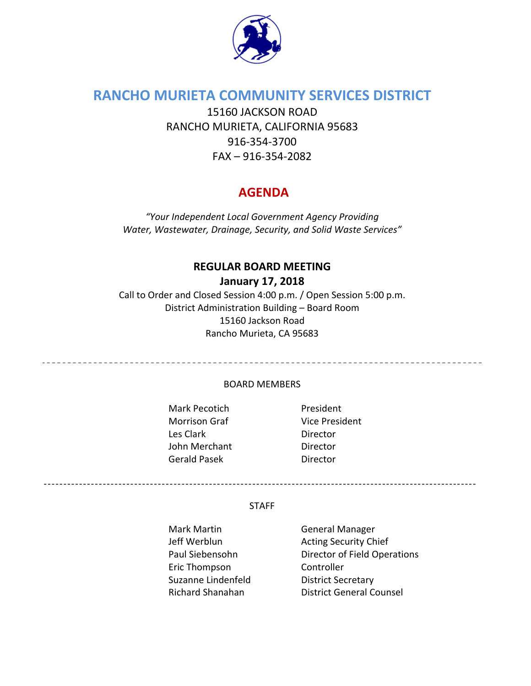

# **RANCHO MURIETA COMMUNITY SERVICES DISTRICT**

15160 JACKSON ROAD RANCHO MURIETA, CALIFORNIA 95683 916‐354‐3700 FAX – 916‐354‐2082

# **AGENDA**

*"Your Independent Local Government Agency Providing Water, Wastewater, Drainage, Security, and Solid Waste Services"*

# **REGULAR BOARD MEETING**

**January 17, 2018**

Call to Order and Closed Session 4:00 p.m. / Open Session 5:00 p.m. District Administration Building – Board Room 15160 Jackson Road Rancho Murieta, CA 95683

BOARD MEMBERS

Mark Pecotich **President** Morrison Graf Vice President Les Clark **Director** John Merchant **Director** Gerald Pasek **Director** 

#### **STAFF**

--------------------------------------------------------------------------------------------------------------

Eric Thompson Controller Suzanne Lindenfeld **District Secretary** 

Mark Martin **Communist Contrary General Manager** Jeff Werblun **Network** Acting Security Chief Paul Siebensohn Director of Field Operations Richard Shanahan District General Counsel

<u>----------------------------</u>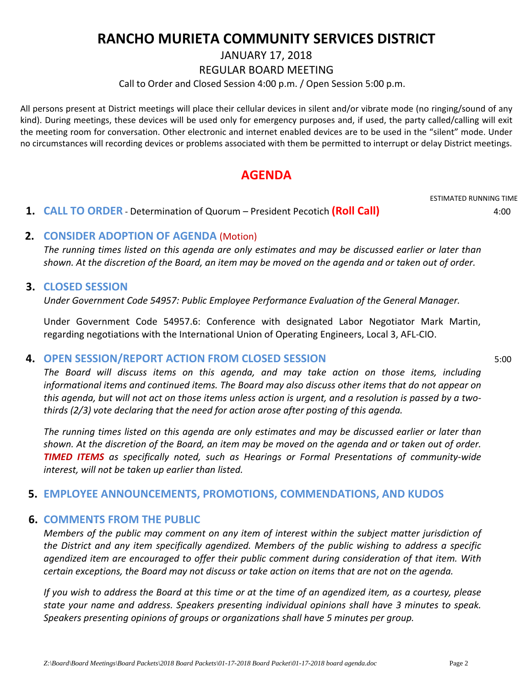# **RANCHO MURIETA COMMUNITY SERVICES DISTRICT**

JANUARY 17, 2018

REGULAR BOARD MEETING

Call to Order and Closed Session 4:00 p.m. / Open Session 5:00 p.m.

All persons present at District meetings will place their cellular devices in silent and/or vibrate mode (no ringing/sound of any kind). During meetings, these devices will be used only for emergency purposes and, if used, the party called/calling will exit the meeting room for conversation. Other electronic and internet enabled devices are to be used in the "silent" mode. Under no circumstances will recording devices or problems associated with them be permitted to interrupt or delay District meetings.

# **AGENDA**

ESTIMATED RUNNING TIME

 **1. CALL TO ORDER** ‐ Determination of Quorum – President Pecotich **(Roll Call)** 4:00

# **2. CONSIDER ADOPTION OF AGENDA** (Motion)

The running times listed on this agenda are only estimates and may be discussed earlier or later than shown. At the discretion of the Board, an item may be moved on the agenda and or taken out of order.

### **3. CLOSED SESSION**

*Under Government Code 54957: Public Employee Performance Evaluation of the General Manager.*

Under Government Code 54957.6: Conference with designated Labor Negotiator Mark Martin, regarding negotiations with the International Union of Operating Engineers, Local 3, AFL‐CIO.

# **4. OPEN SESSION/REPORT ACTION FROM CLOSED SESSION** 5:00

*The Board will discuss items on this agenda, and may take action on those items, including informational items and continued items. The Board may also discuss other items that do not appear on* this agenda, but will not act on those items unless action is urgent, and a resolution is passed by a two*thirds (2/3) vote declaring that the need for action arose after posting of this agenda.*

The running times listed on this agenda are only estimates and may be discussed earlier or later than shown. At the discretion of the Board, an item may be moved on the agenda and or taken out of order. *TIMED ITEMS as specifically noted, such as Hearings or Formal Presentations of community‐wide interest, will not be taken up earlier than listed.*

# **5. EMPLOYEE ANNOUNCEMENTS, PROMOTIONS, COMMENDATIONS, AND KUDOS**

# **6. COMMENTS FROM THE PUBLIC**

*Members of the public may comment on any item of interest within the subject matter jurisdiction of the District and any item specifically agendized. Members of the public wishing to address a specific agendized item are encouraged to offer their public comment during consideration of that item. With* certain exceptions, the Board may not discuss or take action on items that are not on the agenda.

If you wish to address the Board at this time or at the time of an agendized item, as a courtesy, please *state your name and address. Speakers presenting individual opinions shall have 3 minutes to speak. Speakers presenting opinions of groups or organizations shall have 5 minutes per group.*